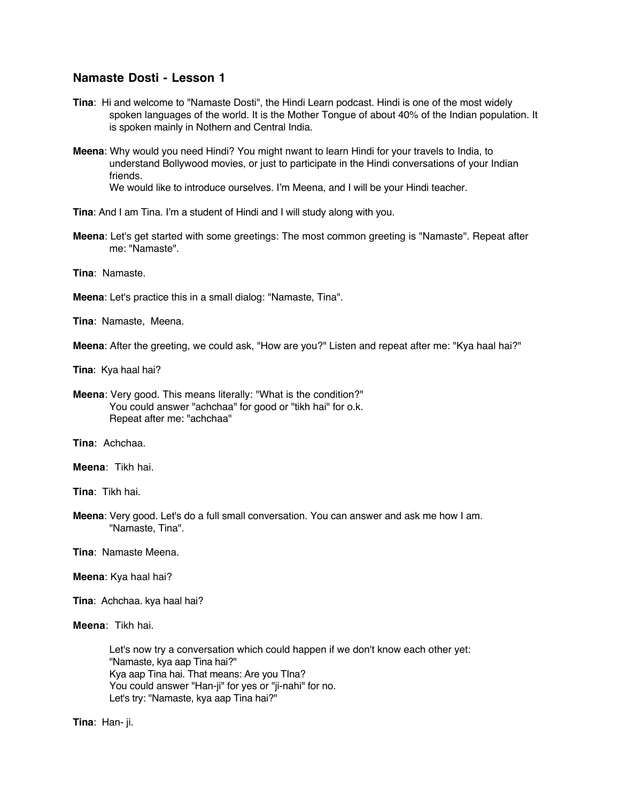## **Namaste Dosti - Lesson 1**

- **Tina**: Hi and welcome to "Namaste Dosti", the Hindi Learn podcast. Hindi is one of the most widely spoken languages of the world. It is the Mother Tongue of about 40% of the Indian population. It is spoken mainly in Nothern and Central India.
- **Meena**: Why would you need Hindi? You might nwant to learn Hindi for your travels to India, to understand Bollywood movies, or just to participate in the Hindi conversations of your Indian friends.

We would like to introduce ourselves. I'm Meena, and I will be your Hindi teacher.

**Tina**: And I am Tina. I'm a student of Hindi and I will study along with you.

**Meena**: Let's get started with some greetings: The most common greeting is "Namaste". Repeat after me: "Namaste".

**Tina**: Namaste.

**Meena**: Let's practice this in a small dialog: "Namaste, Tina".

**Tina**: Namaste, Meena.

**Meena**: After the greeting, we could ask, "How are you?" Listen and repeat after me: "Kya haal hai?"

**Tina**: Kya haal hai?

**Meena**: Very good. This means literally: "What is the condition?" You could answer "achchaa" for good or "tikh hai" for o.k. Repeat after me: "achchaa"

**Tina**: Achchaa.

**Meena**: Tikh hai.

**Tina**: Tikh hai.

**Meena**: Very good. Let's do a full small conversation. You can answer and ask me how I am. "Namaste, Tina".

**Tina**: Namaste Meena.

- **Meena**: Kya haal hai?
- **Tina**: Achchaa. kya haal hai?

**Meena**: Tikh hai.

Let's now try a conversation which could happen if we don't know each other yet: "Namaste, kya aap Tina hai?" Kya aap Tina hai. That means: Are you TIna? You could answer "Han-ji" for yes or "ji-nahi" for no. Let's try: "Namaste, kya aap Tina hai?"

**Tina**: Han- ji.